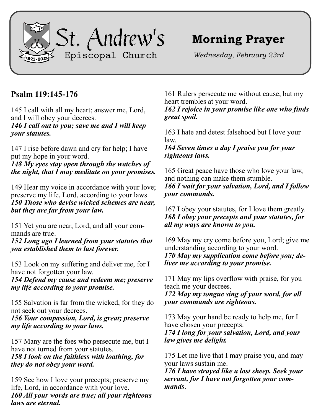

## **Morning Prayer**

*Wednesday, February 23rd*

## **Psalm 119:145-176**

145 I call with all my heart; answer me, Lord, and I will obey your decrees.

*146 I call out to you; save me and I will keep your statutes.*

147 I rise before dawn and cry for help; I have put my hope in your word.

*148 My eyes stay open through the watches of the night, that I may meditate on your promises.*

149 Hear my voice in accordance with your love; preserve my life, Lord, according to your laws. *150 Those who devise wicked schemes are near, but they are far from your law.*

151 Yet you are near, Lord, and all your commands are true.

*152 Long ago I learned from your statutes that you established them to last forever.*

153 Look on my suffering and deliver me, for I have not forgotten your law.

*154 Defend my cause and redeem me; preserve my life according to your promise.*

155 Salvation is far from the wicked, for they do not seek out your decrees.

*156 Your compassion, Lord, is great; preserve my life according to your laws.*

157 Many are the foes who persecute me, but I have not turned from your statutes. *158 I look on the faithless with loathing, for they do not obey your word.*

159 See how I love your precepts; preserve my life, Lord, in accordance with your love. *160 All your words are true; all your righteous laws are eternal.*

161 Rulers persecute me without cause, but my heart trembles at your word.

*162 I rejoice in your promise like one who finds great spoil.*

163 I hate and detest falsehood but I love your law.

*164 Seven times a day I praise you for your righteous laws.*

165 Great peace have those who love your law, and nothing can make them stumble. *166 I wait for your salvation, Lord, and I follow your commands.*

167 I obey your statutes, for I love them greatly. *168 I obey your precepts and your statutes, for all my ways are known to you.*

169 May my cry come before you, Lord; give me understanding according to your word. *170 May my supplication come before you; deliver me according to your promise.*

171 May my lips overflow with praise, for you teach me your decrees.

*172 May my tongue sing of your word, for all your commands are righteous.*

173 May your hand be ready to help me, for I have chosen your precepts.

*174 I long for your salvation, Lord, and your law gives me delight.*

175 Let me live that I may praise you, and may your laws sustain me.

*176 I have strayed like a lost sheep. Seek your servant, for I have not forgotten your commands*.